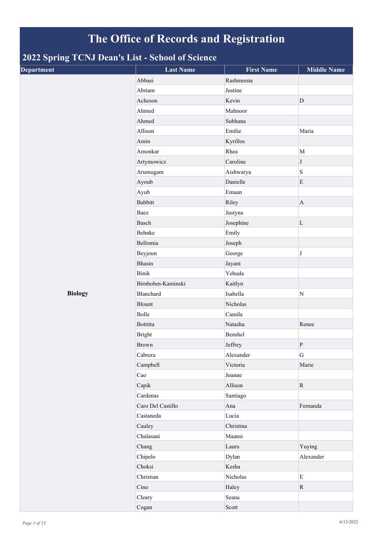## **The Office of Records and Registration**

## **2022 Spring TCNJ Dean's List - School of Science**

| . .<br>$\sim$<br><b>Department</b> | <b>Last Name</b>  | <b>First Name</b> | <b>Middle Name</b> |
|------------------------------------|-------------------|-------------------|--------------------|
|                                    | Abbasi            | Rashmeena         |                    |
|                                    | Abriam            | Justine           |                    |
|                                    | Acheson           | Kevin             | $\mathbf{D}$       |
|                                    | Ahmed             | Mahnoor           |                    |
|                                    | Ahmed             | Subhana           |                    |
|                                    | Allison           | Emilie            | Maria              |
|                                    | Amin              | Kyrillos          |                    |
|                                    | Amonkar           | Rhea              | M                  |
|                                    | Artymowicz        | Caroline          | $\bf J$            |
|                                    | Arumugam          | Aishwarya         | $\, {\bf S}$       |
|                                    | Ayoub             | Danielle          | $\mathbf E$        |
|                                    | Ayub              | Emaan             |                    |
|                                    | <b>Babbitt</b>    | Riley             | $\mathbf{A}$       |
|                                    | Baez              | Justyna           |                    |
|                                    | Basch             | Josephine         | $\mathbf L$        |
|                                    | Behnke            | Emily             |                    |
|                                    | Bellomia          | Joseph            |                    |
|                                    | Beyjoun           | George            | $\bf J$            |
|                                    | Bhasin            | Jayant            |                    |
|                                    | <b>Binik</b>      | Yehuda            |                    |
|                                    | Birnbohm-Kaminski | Kaitlyn           |                    |
| <b>Biology</b>                     | Blanchard         | Isabella          | ${\bf N}$          |
|                                    | Blount            | Nicholas          |                    |
|                                    | Bolle             | Camila            |                    |
|                                    | Bottitta          | Natasha           | Renee              |
|                                    | <b>Bright</b>     | Benshel           |                    |
|                                    | <b>Brown</b>      | Jeffrey           | $\, {\bf p}$       |
|                                    | Cabrera           | Alexander         | ${\bf G}$          |
|                                    | Campbell          | Victoria          | Marie              |
|                                    | Cao               | Joanne            |                    |
|                                    | Capik             | Allison           | $\mathbf R$        |
|                                    | Cardenas          | Santiago          |                    |
|                                    | Caro Del Castillo | Ana               | Fernanda           |
|                                    | Castaneda         | Lucia             |                    |
|                                    | Cauley            | Christina         |                    |
|                                    | Chalasani         | Maansi            |                    |
|                                    | Chang             | Laura             | Yuying             |
|                                    | Chipelo           | Dylan             | Alexander          |
|                                    | Choksi            | Kesha             |                    |
|                                    | Christian         | Nicholas          | $\mathbf E$        |
|                                    | Cino              | Haley             | $\mathbf R$        |
|                                    | Cleary            | Seana             |                    |
|                                    | Cogan             | Scott             |                    |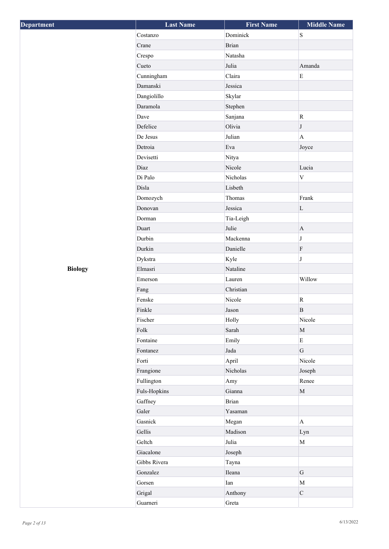| <b>Department</b> | <b>Last Name</b> | <b>First Name</b> | <b>Middle Name</b>        |
|-------------------|------------------|-------------------|---------------------------|
|                   | Costanzo         | Dominick          | ${\bf S}$                 |
|                   | Crane            | <b>Brian</b>      |                           |
|                   | Crespo           | Natasha           |                           |
|                   | Cueto            | Julia             | Amanda                    |
|                   | Cunningham       | Claira            | $\rm E$                   |
|                   | Damanski         | Jessica           |                           |
|                   | Dangiolillo      | Skylar            |                           |
|                   | Daramola         | Stephen           |                           |
|                   | Dave             | Sanjana           | ${\bf R}$                 |
|                   | Defelice         | Olivia            | J                         |
|                   | De Jesus         | Julian            | $\boldsymbol{\mathsf{A}}$ |
|                   | Detroia          | Eva               | Joyce                     |
|                   | Devisetti        | Nitya             |                           |
|                   | Diaz             | Nicole            | Lucia                     |
|                   | Di Palo          | Nicholas          | $\ensuremath{\mathbf{V}}$ |
|                   | Disla            | Lisbeth           |                           |
|                   | Domozych         | Thomas            | Frank                     |
|                   | Donovan          | Jessica           | $\mathbf L$               |
|                   | Dorman           | Tia-Leigh         |                           |
|                   | Duart            | Julie             | $\mathbf{A}$              |
|                   | Durbin           | Mackenna          | $\bf J$                   |
|                   | Durkin           | Danielle          | $\rm F$                   |
|                   | Dykstra          | Kyle              | $\bf J$                   |
| <b>Biology</b>    | Elmasri          | Nataline          |                           |
|                   | Emerson          | Lauren            | Willow                    |
|                   | Fang             | Christian         |                           |
|                   | Fenske           | Nicole            | ${\bf R}$                 |
|                   | Finkle           | Jason             | $\, {\bf B}$              |
|                   | Fischer          | Holly             | Nicole                    |
|                   | ${\rm Folk}$     | Sarah             | $\mathbf M$               |
|                   | Fontaine         | Emily             | $\mathbf E$               |
|                   | Fontanez         | $_{\rm Jada}$     | G                         |
|                   | Forti            | April             | Nicole                    |
|                   | Frangione        | Nicholas          | Joseph                    |
|                   | Fullington       | Amy               | Renee                     |
|                   | Fuls-Hopkins     | Gianna            | $\mathbf M$               |
|                   | Gaffney          | <b>Brian</b>      |                           |
|                   | Galer            | Yasaman           |                           |
|                   | Gasnick          | Megan             | $\mathbf{A}$              |
|                   | Gellis           | Madison           | Lyn                       |
|                   | Geltch           | Julia             | $\mathbf M$               |
|                   | Giacalone        | Joseph            |                           |
|                   | Gibbs Rivera     | Tayna             |                           |
|                   | Gonzalez         | Ileana            | $\mathbf G$               |
|                   | Gorsen           | Ian               | $\mathbf M$               |
|                   | Grigal           | Anthony           | $\mathbf C$               |
|                   | Guarneri         | Greta             |                           |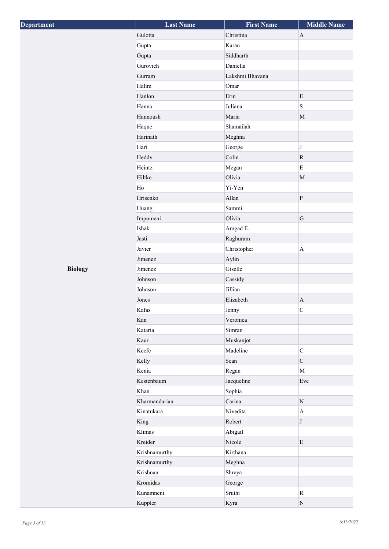| Department     | <b>Last Name</b> | <b>First Name</b> | <b>Middle Name</b>    |
|----------------|------------------|-------------------|-----------------------|
|                | Gulotta          | Christina         | $\mathbf{A}$          |
|                | Gupta            | Karan             |                       |
|                | Gupta            | Siddharth         |                       |
|                | Gurovich         | Daniella          |                       |
|                | Gurram           | Lakshmi Bhavana   |                       |
|                | Halim            | Omar              |                       |
|                | Hanlon           | Erin              | E                     |
|                | Hanna            | Juliana           | S                     |
|                | Hannoush         | Maria             | $\mathbf M$           |
|                | Haque            | Shamailah         |                       |
|                | Harinath         | Meghna            |                       |
|                | Hart             | George            | $\bf J$               |
|                | Heddy            | Colin             | $\mathbf R$           |
|                | Heintz           | Megan             | $\mathbf E$           |
|                | Hiltke           | Olivia            | $\mathbf M$           |
|                | Ho               | Yi-Yen            |                       |
|                | Hrisenko         | Allan             | $\, {\bf P}$          |
|                | Huang            | Sammi             |                       |
|                | Impomeni         | Olivia            | ${\bf G}$             |
|                | Ishak            | Amgad E.          |                       |
|                | Jasti            | Raghuram          |                       |
|                | Javier           | Christopher       | $\boldsymbol{\rm{A}}$ |
|                | Jimenez          | Aylin             |                       |
| <b>Biology</b> | Jimenez          | Giselle           |                       |
|                | Johnson          | Cassidy           |                       |
|                | Johnson          | Jillian           |                       |
|                | Jones            | Elizabeth         | $\mathbf{A}$          |
|                | Kafas            | Jenny             | $\mathsf{C}$          |
|                | Kan              | Veronica          |                       |
|                | Kataria          | Simran            |                       |
|                | Kaur             | Muskanjot         |                       |
|                | Keefe            | Madeline          | $\mathsf C$           |
|                | Kelly            | Sean              | $\mathbf C$           |
|                | Kenia            | Regan             | $\mathbf{M}$          |
|                | Kestenbaum       | Jacqueline        | Eve                   |
|                | Khan             | Sophia            |                       |
|                | Kharmandarian    | Carina            | ${\bf N}$             |
|                | Kinatukara       | Nivedita          | $\mathbf{A}$          |
|                | King             | Robert            | J                     |
|                | Klimas           | Abigail           |                       |
|                | Kreider          | Nicole            | E                     |
|                | Krishnamurthy    | Kirthana          |                       |
|                | Krishnamurthy    | Meghna            |                       |
|                | Krishnan         | Shreya            |                       |
|                | Kromidas         | George            |                       |
|                | Kunamneni        | Sruthi            | $\mathbf R$           |
|                |                  |                   |                       |
|                | Kuppler          | Kyra              | $\mathbf N$           |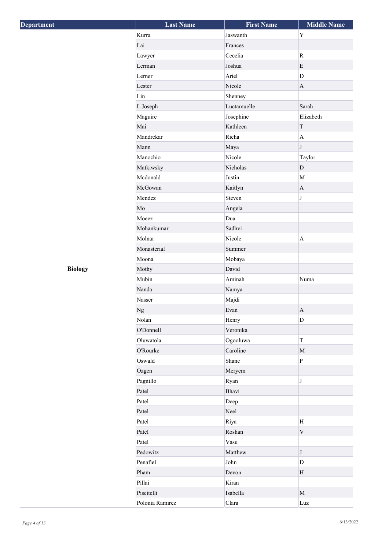| Department     | <b>Last Name</b> | <b>First Name</b> | <b>Middle Name</b>        |
|----------------|------------------|-------------------|---------------------------|
|                | Kurra            | Jaswanth          | $\mathbf Y$               |
|                | Lai              | Frances           |                           |
|                | Lawyer           | Cecelia           | $\overline{\text{R}}$     |
|                | Lerman           | Joshua            | $\mathbf E$               |
|                | Lerner           | Ariel             | $\mathbf D$               |
|                | Lester           | Nicole            | $\mathbf A$               |
|                | Lin              | Shenney           |                           |
|                | L Joseph         | Luctamuelle       | Sarah                     |
|                | Maguire          | Josephine         | Elizabeth                 |
|                | Mai              | Kathleen          | $\mathcal T$              |
|                | Mandrekar        | Richa             | $\overline{A}$            |
|                | Mann             | Maya              | $\bf J$                   |
|                | Manochio         | Nicole            | Taylor                    |
|                | Matkiwsky        | Nicholas          | $\mathbf{D}$              |
|                | Mcdonald         | Justin            | M                         |
|                | McGowan          | Kaitlyn           | $\mathbf{A}$              |
|                | Mendez           | Steven            | $\bf J$                   |
|                | $\rm Mo$         | Angela            |                           |
|                | Moeez            | Dua               |                           |
|                | Mohankumar       | Sadhvi            |                           |
|                | Molnar           | Nicole            | $\boldsymbol{\mathsf{A}}$ |
|                | Monasterial      | Summer            |                           |
|                | Moona            | Mobaya            |                           |
| <b>Biology</b> | Mothy            | David             |                           |
|                | Mubin            | Aminah            | Numa                      |
|                | Nanda            | Namya             |                           |
|                | Nasser           | Majdi             |                           |
|                | $_{\mathrm{Ng}}$ | Evan              | $\mathbf{A}$              |
|                | Nolan            | Henry             | $\mathbf D$               |
|                | O'Donnell        | Veronika          |                           |
|                | Oluwatola        | Ogooluwa          | $\mathbf T$               |
|                | O'Rourke         | Caroline          | $\mathbf M$               |
|                | Oswald           | Shane             | $\, {\bf p}$              |
|                | Ozgen            | Meryem            |                           |
|                | Pagnillo         | Ryan              | $\bf J$                   |
|                | Patel            | Bhavi             |                           |
|                | Patel            | Deep              |                           |
|                | Patel            | Neel              |                           |
|                | Patel            | Riya              | H                         |
|                | Patel            | Roshan            | $\mathbf V$               |
|                | Patel            | Vasu              |                           |
|                | Pedowitz         | Matthew           | J                         |
|                | Penafiel         | John              | D                         |
|                | Pham             | Devon             | H                         |
|                | Pillai           | Kiran             |                           |
|                | Piscitelli       | Isabella          | $\mathbf{M}$              |
|                | Polonia Ramirez  | Clara             | Luz                       |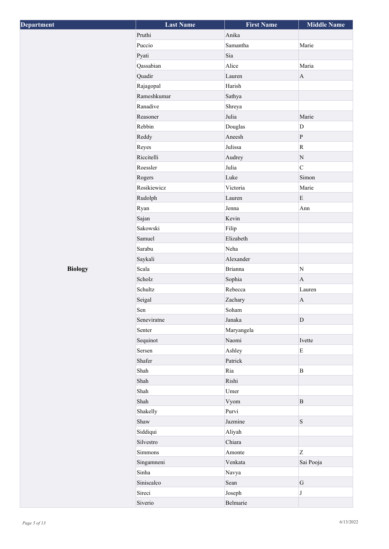| Department     | <b>Last Name</b> | <b>First Name</b> | <b>Middle Name</b> |
|----------------|------------------|-------------------|--------------------|
|                | Pruthi           | Anika             |                    |
|                | Puccio           | Samantha          | Marie              |
|                | Pyati            | Sia               |                    |
|                | Qassabian        | Alice             | Maria              |
|                | Quadir           | Lauren            | $\mathbf{A}$       |
|                | Rajagopal        | Harish            |                    |
|                | Rameshkumar      | Sathya            |                    |
|                | Ranadive         | Shreya            |                    |
|                | Reasoner         | Julia             | Marie              |
|                | Rebbin           | Douglas           | $\mathbf D$        |
|                | Reddy            | Aneesh            | $\, {\bf p}$       |
|                | Reyes            | Julissa           | ${\bf R}$          |
|                | Riccitelli       | Audrey            | ${\bf N}$          |
|                | Roessler         | Julia             | $\overline{C}$     |
|                | Rogers           | Luke              | Simon              |
|                | Rosikiewicz      | Victoria          | Marie              |
|                | Rudolph          | Lauren            | $\mathbf E$        |
|                | Ryan             | Jenna             | Ann                |
|                | Sajan            | Kevin             |                    |
|                | Sakowski         | Filip             |                    |
|                | Samuel           | Elizabeth         |                    |
|                | Sarabu           | Neha              |                    |
|                | Saykali          | Alexander         |                    |
| <b>Biology</b> | Scala            | <b>Brianna</b>    | ${\bf N}$          |
|                | Scholz           | Sophia            | $\bf{A}$           |
|                | Schultz          | Rebecca           | Lauren             |
|                | Seigal           | Zachary           | $\mathbf{A}$       |
|                | Sen              | Soham             |                    |
|                | Seneviratne      | Janaka            | D                  |
|                | Senter           | Maryangela        |                    |
|                | Sequinot         | Naomi             | Ivette             |
|                | Sersen           | Ashley            | $\mathbf E$        |
|                | Shafer           | Patrick           |                    |
|                | Shah             | Ria               | $\mathbf B$        |
|                | Shah             | Rishi             |                    |
|                | Shah             | Umer              |                    |
|                | Shah             | Vyom              | $\mathbf B$        |
|                | Shakelly         | Purvi             |                    |
|                | Shaw             | Jazmine           | S                  |
|                | Siddiqui         | Aliyah            |                    |
|                | Silvestro        | Chiara            |                    |
|                | Simmons          | Amonte            | Z                  |
|                | Singamneni       | Venkata           | Sai Pooja          |
|                | Sinha            | Navya             |                    |
|                | Siniscalco       | Sean              | ${\bf G}$          |
|                | Sireci           | Joseph            | J                  |
|                | Siverio          | Belmarie          |                    |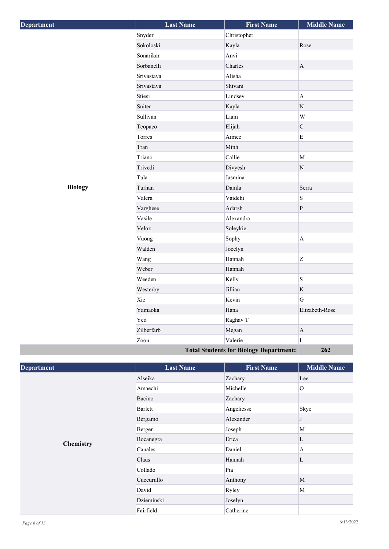| Department                                           | <b>Last Name</b> | <b>First Name</b> | <b>Middle Name</b>        |
|------------------------------------------------------|------------------|-------------------|---------------------------|
|                                                      | Snyder           | Christopher       |                           |
|                                                      | Sokoloski        | Kayla             | Rose                      |
|                                                      | Sonarikar        | Anvi              |                           |
|                                                      | Sorbanelli       | Charles           | $\mathbf{A}$              |
|                                                      | Srivastava       | Alisha            |                           |
|                                                      | Srivastava       | Shivani           |                           |
|                                                      | Stiesi           | Lindsey           | $\boldsymbol{\mathsf{A}}$ |
|                                                      | Suiter           | Kayla             | ${\bf N}$                 |
|                                                      | Sullivan         | Liam              | W                         |
|                                                      | Teopaco          | Elijah            | $\mathbf C$               |
|                                                      | Torres           | Aimee             | $\mathbf E$               |
|                                                      | Tran             | Minh              |                           |
|                                                      | Triano           | Callie            | $\overline{M}$            |
|                                                      | Trivedi          | Divyesh           | $\mathbf N$               |
|                                                      | Tula             | Jasmina           |                           |
| <b>Biology</b>                                       | Turhan           | Damla             | Serra                     |
|                                                      | Valera           | Vaidehi           | $\mathbf S$               |
|                                                      | Varghese         | Adarsh            | $\, {\bf p}$              |
|                                                      | Vasile           | Alexandra         |                           |
|                                                      | Veloz            | Soleykie          |                           |
|                                                      | Vuong            | Sophy             | $\boldsymbol{\mathsf{A}}$ |
|                                                      | Walden           | Jocelyn           |                           |
|                                                      | Wang             | Hannah            | Z                         |
|                                                      | Weber            | Hannah            |                           |
|                                                      | Weeden           | Kelly             | S                         |
|                                                      | Westerby         | Jillian           | $\rm K$                   |
|                                                      | Xie              | Kevin             | $\overline{G}$            |
|                                                      | Yamaoka          | Hana              | Elizabeth-Rose            |
|                                                      | Yeo              | Raghav T          |                           |
|                                                      | Zilberfarb       | Megan             | $\mathbf A$               |
|                                                      | Zoon             | Valerie           | $\mathbf I$               |
| <b>Total Students for Biology Department:</b><br>262 |                  |                   |                           |

| <b>Department</b> | <b>Last Name</b> | <b>First Name</b> | <b>Middle Name</b> |
|-------------------|------------------|-------------------|--------------------|
|                   | Alseika          | Zachary           | Lee                |
|                   | Amaechi          | Michelle          | $\overline{O}$     |
|                   | Bacino           | Zachary           |                    |
|                   | Barlett          | Angeliesse        | Skye               |
|                   | Bergamo          | Alexander         | J                  |
|                   | Bergen           | Joseph            | M                  |
|                   | Bocanegra        | Erica             | L                  |
| <b>Chemistry</b>  | Canales          | Daniel            | $\mathbf{A}$       |
|                   | Claus            | Hannah            | L                  |
|                   | Collado          | Pia               |                    |
|                   | Cuccurullo       | Anthony           | M                  |
|                   | David            | Ryley             | M                  |
|                   | Dzieminski       | Joselyn           |                    |
|                   | Fairfield        | Catherine         |                    |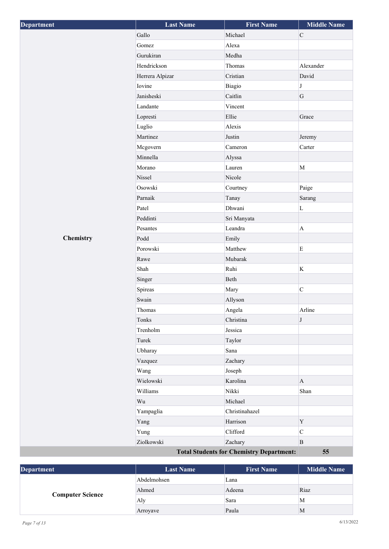| Department | <b>Last Name</b> | <b>First Name</b>                               | <b>Middle Name</b> |
|------------|------------------|-------------------------------------------------|--------------------|
|            | Gallo            | Michael                                         | $\mathsf C$        |
|            | Gomez            | Alexa                                           |                    |
|            | Gurukiran        | Medha                                           |                    |
|            | Hendrickson      | Thomas                                          | Alexander          |
|            | Herrera Alpizar  | Cristian                                        | David              |
|            | Iovine           | Biagio                                          | $\bf J$            |
|            | Janisheski       | Caitlin                                         | G                  |
|            | Landante         | Vincent                                         |                    |
|            | Lopresti         | Ellie                                           | Grace              |
|            | Luglio           | Alexis                                          |                    |
|            | Martinez         | Justin                                          | Jeremy             |
|            | Mcgovern         | Cameron                                         | Carter             |
|            | Minnella         | Alyssa                                          |                    |
|            | Morano           | Lauren                                          | $\mathbf M$        |
|            | Nissel           | Nicole                                          |                    |
|            | Osowski          | Courtney                                        | Paige              |
|            | Parnaik          | Tanay                                           | Sarang             |
|            | Patel            | Dhwani                                          | $\mathbf L$        |
|            | Peddinti         | Sri Manyata                                     |                    |
|            | Pesantes         | Leandra                                         | $\mathbf{A}$       |
| Chemistry  | Podd             | Emily                                           |                    |
|            | Porowski         | Matthew                                         | $\mathbf E$        |
|            | Rawe             | Mubarak                                         |                    |
|            | Shah             | Ruhi                                            | $\bf K$            |
|            | Singer           | Beth                                            |                    |
|            | Spireas          | Mary                                            | $\mathbf C$        |
|            | Swain            | Allyson                                         |                    |
|            | Thomas           | Angela                                          | Arline             |
|            | Tonks            | Christina                                       | $\bf J$            |
|            | Trenholm         | Jessica                                         |                    |
|            | Turek            | Taylor                                          |                    |
|            | Ubharay          | Sana                                            |                    |
|            | Vazquez          | Zachary                                         |                    |
|            | Wang             | Joseph                                          |                    |
|            | Wielowski        | Karolina                                        | $\bf{A}$           |
|            | Williams         | Nikki                                           | Shan               |
|            | Wu               | Michael                                         |                    |
|            | Yampaglia        | Christinahazel                                  |                    |
|            | Yang             | Harrison                                        | $\mathbf Y$        |
|            | Yung             | Clifford                                        | $\mathsf C$        |
|            | Ziolkowski       | Zachary                                         | $\, {\bf B}$       |
|            |                  | <b>Total Students for Chemistry Department:</b> | 55                 |

| <b>Department</b>       | <b>Last Name</b> | <b>First Name</b> | <b>Middle Name</b> |
|-------------------------|------------------|-------------------|--------------------|
| <b>Computer Science</b> | Abdelmohsen      | Lana              |                    |
|                         | Ahmed            | Adeena            | Riaz               |
|                         | Aly              | Sara              | м                  |
|                         | Arroyave         | Paula             | M                  |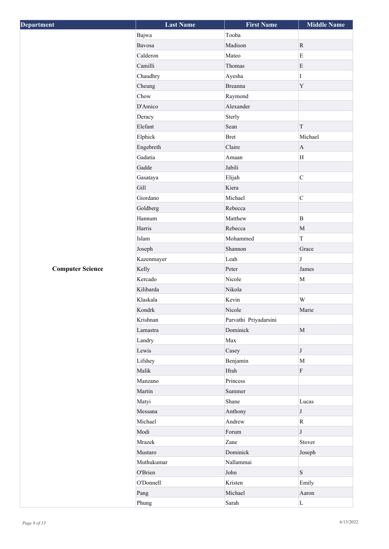| <b>Department</b>       | <b>Last Name</b> | <b>First Name</b>     | <b>Middle Name</b>        |
|-------------------------|------------------|-----------------------|---------------------------|
|                         | Bajwa            | Tooba                 |                           |
|                         | Bavosa           | Madison               | $\mathbf R$               |
|                         | Calderon         | Mateo                 | $\mathbf E$               |
|                         | Camilli          | Thomas                | E                         |
|                         | Chaudhry         | Ayesha                | I                         |
|                         | Cheung           | <b>Breanna</b>        | $\mathbf Y$               |
|                         | Chow             | Raymond               |                           |
|                         | D'Amico          | Alexander             |                           |
|                         | Deracy           | Sterly                |                           |
|                         | Elefant          | Sean                  | $\mathcal T$              |
|                         | Elphick          | <b>Bret</b>           | Michael                   |
|                         | Engebreth        | Claire                | $\mathbf A$               |
|                         | Gadatia          | Amaan                 | H                         |
|                         | Gadde            | Jabili                |                           |
|                         | Gasataya         | Elijah                | $\mathbf C$               |
|                         | Gill             | Kiera                 |                           |
|                         | Giordano         | Michael               | $\overline{C}$            |
|                         | Goldberg         | Rebecca               |                           |
|                         | Hannum           | Matthew               | $\mathbf B$               |
|                         | Harris           | Rebecca               | $\mathbf M$               |
|                         | Islam            | Mohammed              | $\overline{T}$            |
|                         | Joseph           | Shannon               | Grace                     |
|                         | Kazenmayer       | Leah                  | J                         |
| <b>Computer Science</b> | Kelly            | Peter                 | James                     |
|                         | Kercado          | Nicole                | $\mathbf M$               |
|                         | Kilibarda        | Nikola                |                           |
|                         | Klaskala         | Kevin                 | W                         |
|                         | Kondrk           | Nicole                | Marie                     |
|                         | Krishnan         | Parvathi Priyadarsini |                           |
|                         | Lamastra         | Dominick              | $\mathbf M$               |
|                         | Landry           | Max                   |                           |
|                         | Lewis            | Casey                 | $\bf J$                   |
|                         | Lifshey          | Benjamin              | $\mathbf M$               |
|                         | Malik            | Ifrah                 | $\boldsymbol{\mathrm{F}}$ |
|                         | Manzano          | Princess              |                           |
|                         | Martin           | Summer                |                           |
|                         | Matyi            | Shane                 | Lucas                     |
|                         | Messana          | Anthony               | J                         |
|                         | Michael          | Andrew                | $\overline{\text{R}}$     |
|                         | Modi             | Forum                 | $\bf J$                   |
|                         | Mrazek           | Zane                  | Stover                    |
|                         | Mustaro          | Dominick              | Joseph                    |
|                         | Muthukumar       | Nallammai             |                           |
|                         | O'Brien          | John                  | S                         |
|                         | O'Donnell        | Kristen               | Emily                     |
|                         | Pang             | Michael               | Aaron                     |
|                         | Phung            | Sarah                 | $\mathbf L$               |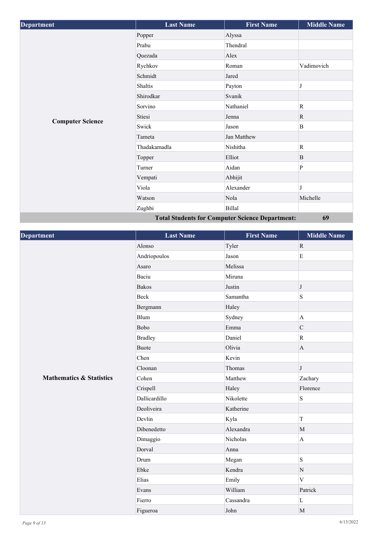| <b>Department</b>       | <b>Last Name</b> | <b>First Name</b>                                      | <b>Middle Name</b> |
|-------------------------|------------------|--------------------------------------------------------|--------------------|
|                         | Popper           | Alyssa                                                 |                    |
|                         | Prabu            | Thendral                                               |                    |
|                         | Quezada          | Alex                                                   |                    |
|                         | Rychkov          | Roman                                                  | Vadimovich         |
|                         | Schmidt          | Jared                                                  |                    |
|                         | Shaltis          | Payton                                                 | J                  |
|                         | Shirodkar        | Svanik                                                 |                    |
|                         | Sorvino          | Nathaniel                                              | $\mathbb{R}$       |
|                         | Stiesi           | Jenna                                                  | $\mathbb{R}$       |
| <b>Computer Science</b> | Swick            | Jason                                                  | $\bf{B}$           |
|                         | Tameta           | Jan Matthew                                            |                    |
|                         | Thadakamadla     | Nishitha                                               | $\mathbb{R}$       |
|                         | Topper           | Elliot                                                 | B                  |
|                         | Turner           | Aidan                                                  | P                  |
|                         | Vempati          | Abhijit                                                |                    |
|                         | Viola            | Alexander                                              | J                  |
|                         | Watson           | Nola                                                   | Michelle           |
|                         | Zughbi           | Billal                                                 |                    |
|                         |                  | <b>Total Students for Computer Science Department:</b> | 69                 |

| <b>Department</b>                   | <b>Last Name</b> | <b>First Name</b> | <b>Middle Name</b> |
|-------------------------------------|------------------|-------------------|--------------------|
|                                     | Alonso           | Tyler             | $\mathbf R$        |
|                                     | Andriopoulos     | Jason             | $\mathbf E$        |
|                                     | Asaro            | Melissa           |                    |
|                                     | Baciu            | Miruna            |                    |
|                                     | <b>Bakos</b>     | Justin            | $\bf J$            |
|                                     | Beck             | Samantha          | S                  |
|                                     | Bergmann         | Haley             |                    |
|                                     | Blum             | Sydney            | $\mathbf{A}$       |
|                                     | Bobo             | Emma              | $\mathsf{C}$       |
|                                     | <b>Bradley</b>   | Daniel            | $\mathbf R$        |
|                                     | <b>Buote</b>     | Olivia            | $\mathbf{A}$       |
|                                     | Chen             | Kevin             |                    |
|                                     | Cloonan          | Thomas            | $\bf J$            |
| <b>Mathematics &amp; Statistics</b> | Cohen            | Matthew           | Zachary            |
|                                     | Crispell         | Haley             | Florence           |
|                                     | Dallicardillo    | Nikolette         | S                  |
|                                     | Deoliveira       | Katherine         |                    |
|                                     | Devlin           | Kyla              | $\mathbf T$        |
|                                     | Dibenedetto      | Alexandra         | M                  |
|                                     | Dimaggio         | Nicholas          | $\mathbf{A}$       |
|                                     | Dorval           | Anna              |                    |
|                                     | Drum             | Megan             | S                  |
|                                     | Ebke             | Kendra            | $\mathbf N$        |
|                                     | Elias            | Emily             | V                  |
|                                     | Evans            | William           | Patrick            |
|                                     | Fierro           | Cassandra         | $\mathbf L$        |
|                                     | Figueroa         | John              | $\mathbf M$        |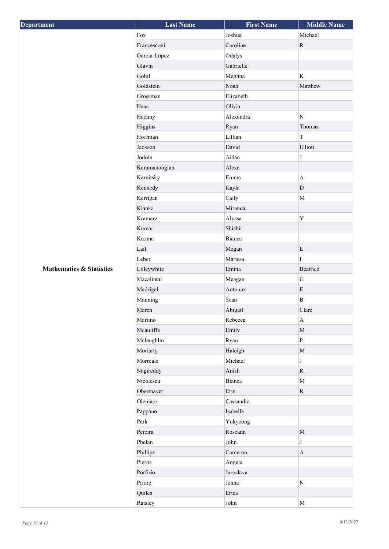| <b>Department</b>                   | <b>Last Name</b> | <b>First Name</b> | <b>Middle Name</b>        |
|-------------------------------------|------------------|-------------------|---------------------------|
|                                     | Fox              | Joshua            | Michael                   |
|                                     | Francesconi      | Caroline          | $\mathbf R$               |
|                                     | Garcia-Lopez     | Odalys            |                           |
|                                     | Glavin           | Gabrielle         |                           |
|                                     | Gohil            | Meghna            | K                         |
|                                     | Goldstein        | Noah              | Matthew                   |
|                                     | Grossman         | Elizabeth         |                           |
|                                     | Haas             | Olivia            |                           |
|                                     | Haenny           | Alexandra         | $\mathbf N$               |
|                                     | Higgins          | Ryan              | Thomas                    |
|                                     | Hoffman          | Lillian           | $\rm T$                   |
|                                     | Jackson          | David             | Elliott                   |
|                                     | Jodoin           | Aidan             | J                         |
|                                     | Karamanoogian    | Alexa             |                           |
|                                     | Karnitsky        | Emma              | $\mathbf{A}$              |
|                                     | Kennedy          | Kayla             | $\mathbf D$               |
|                                     | Kerrigan         | Cally             | $\mathbf M$               |
|                                     | Kianka           | Miranda           |                           |
|                                     | Kramarz          | Alyssa            | Y                         |
|                                     | Kumar            | Shishir           |                           |
|                                     | Kuzma            | Bianca            |                           |
|                                     | Lail             | Megan             | $\mathbf E$               |
|                                     | Leber            | Marissa           | L                         |
| <b>Mathematics &amp; Statistics</b> | Lilleywhite      | Emma              | Beatrice                  |
|                                     | Macalintal       | Meagan            | ${\bf G}$                 |
|                                     | Madrigal         | Antonio           | E                         |
|                                     | Manning          | Sean              | $\mathbf B$               |
|                                     | March            | Abigail           | Clare                     |
|                                     | Martino          | Rebecca           | $\boldsymbol{\mathsf{A}}$ |
|                                     | Mcauliffe        | Emily             | $\mathbf M$               |
|                                     | Mclaughlin       | Ryan              | $\, {\bf p}$              |
|                                     | Moriarty         | Haleigh           | $\mathbf M$               |
|                                     | Morreale         | Michael           | J                         |
|                                     | Nagireddy        | Anish             | $\mathbf R$               |
|                                     | Nicolescu        | Bianca            | $\mathbf M$               |
|                                     | Obermayer        | Erin              | $\mathbf R$               |
|                                     | Oleniacz         | Cassandra         |                           |
|                                     | Pappano          | Isabella          |                           |
|                                     | Park             | Yukyeong          |                           |
|                                     | Pereira          | Roseann           | $\mathbf M$               |
|                                     | Phelan           | John              | J                         |
|                                     | Phillips         | Cameron           | $\mathbf{A}$              |
|                                     | Pieros           | Angela            |                           |
|                                     | Porfirio         | Jaroslava         |                           |
|                                     | Priore           | Jenna             | $\mathbf N$               |
|                                     | Quiles           | Erica             |                           |
|                                     | Raisley          | John              | $\mathbf M$               |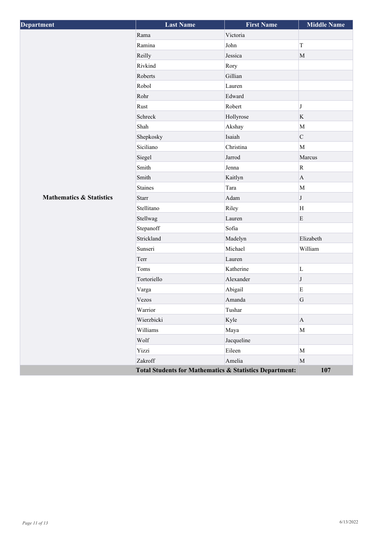| Department                          | <b>Last Name</b>                                        | <b>First Name</b> | <b>Middle Name</b> |
|-------------------------------------|---------------------------------------------------------|-------------------|--------------------|
|                                     | Rama                                                    | Victoria          |                    |
|                                     | Ramina                                                  | John              | $\mathbf T$        |
|                                     | Reilly                                                  | Jessica           | $\mathbf M$        |
|                                     | Rivkind                                                 | Rory              |                    |
|                                     | Roberts                                                 | Gillian           |                    |
|                                     | Robol                                                   | Lauren            |                    |
|                                     | Rohr                                                    | Edward            |                    |
|                                     | Rust                                                    | Robert            | J                  |
|                                     | Schreck                                                 | Hollyrose         | $\rm K$            |
|                                     | Shah                                                    | Akshay            | M                  |
|                                     | Shepkosky                                               | Isaiah            | $\mathbf C$        |
|                                     | Siciliano                                               | Christina         | M                  |
|                                     | Siegel                                                  | Jarrod            | Marcus             |
|                                     | Smith                                                   | Jenna             | ${\bf R}$          |
|                                     | Smith                                                   | Kaitlyn           | $\mathbf{A}$       |
|                                     | <b>Staines</b>                                          | Tara              | M                  |
| <b>Mathematics &amp; Statistics</b> | <b>Starr</b>                                            | Adam              | J                  |
|                                     | Stellitano                                              | Riley             | H                  |
|                                     | Stellwag                                                | Lauren            | $\mathbf E$        |
|                                     | Stepanoff                                               | Sofia             |                    |
|                                     | Strickland                                              | Madelyn           | Elizabeth          |
|                                     | Sunseri                                                 | Michael           | William            |
|                                     | Terr                                                    | Lauren            |                    |
|                                     | Toms                                                    | Katherine         | $\mathbf L$        |
|                                     | Tortoriello                                             | Alexander         | $\bf J$            |
|                                     | Varga                                                   | Abigail           | $\rm E$            |
|                                     | Vezos                                                   | Amanda            | $\mathbf G$        |
|                                     | Warrior                                                 | Tushar            |                    |
|                                     | Wierzbicki                                              | Kyle              | $\bf{A}$           |
|                                     | Williams                                                | Maya              | M                  |
|                                     | Wolf                                                    | Jacqueline        |                    |
|                                     | Yizzi                                                   | Eileen            | M                  |
|                                     | Zakroff                                                 | Amelia            | $\mathbf M$        |
|                                     | Total Students for Mathematics & Statistics Department: |                   | 107                |